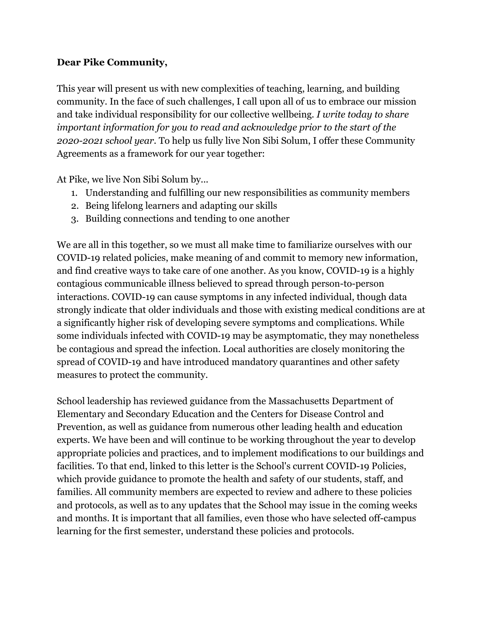## **Dear Pike Community,**

This year will present us with new complexities of teaching, learning, and building community. In the face of such challenges, I call upon all of us to embrace our mission and take individual responsibility for our collective wellbeing*. I write today to share important information for you to read and acknowledge prior to the start of the 2020-2021 school year.* To help us fully live Non Sibi Solum, I offer these Community Agreements as a framework for our year together:

At Pike, we live Non Sibi Solum by...

- 1. Understanding and fulfilling our new responsibilities as community members
- 2. Being lifelong learners and adapting our skills
- 3. Building connections and tending to one another

We are all in this together, so we must all make time to familiarize ourselves with our COVID-19 related policies, make meaning of and commit to memory new information, and find creative ways to take care of one another. As you know, COVID-19 is a highly contagious communicable illness believed to spread through person-to-person interactions. COVID-19 can cause symptoms in any infected individual, though data strongly indicate that older individuals and those with existing medical conditions are at a significantly higher risk of developing severe symptoms and complications. While some individuals infected with COVID-19 may be asymptomatic, they may nonetheless be contagious and spread the infection. Local authorities are closely monitoring the spread of COVID-19 and have introduced mandatory quarantines and other safety measures to protect the community.

School leadership has reviewed guidance from the Massachusetts Department of Elementary and Secondary Education and the Centers for Disease Control and Prevention, as well as guidance from numerous other leading health and education experts. We have been and will continue to be working throughout the year to develop appropriate policies and practices, and to implement modifications to our buildings and facilities. To that end, linked to this letter is the School's current COVID-19 Policies, which provide guidance to promote the health and safety of our students, staff, and families. All community members are expected to review and adhere to these policies and protocols, as well as to any updates that the School may issue in the coming weeks and months. It is important that all families, even those who have selected off-campus learning for the first semester, understand these policies and protocols.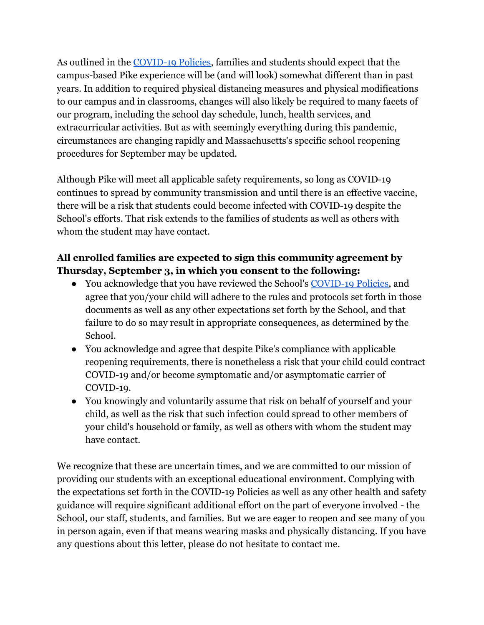As outlined in the [COVID-19 Policies,](http://pikeschool.org/taskforcepolicies) families and students should expect that the campus-based Pike experience will be (and will look) somewhat different than in past years. In addition to required physical distancing measures and physical modifications to our campus and in classrooms, changes will also likely be required to many facets of our program, including the school day schedule, lunch, health services, and extracurricular activities. But as with seemingly everything during this pandemic, circumstances are changing rapidly and Massachusetts's specific school reopening procedures for September may be updated.

Although Pike will meet all applicable safety requirements, so long as COVID-19 continues to spread by community transmission and until there is an effective vaccine, there will be a risk that students could become infected with COVID-19 despite the School's efforts. That risk extends to the families of students as well as others with whom the student may have contact.

## **All enrolled families are expected to sign this community agreement by Thursday, September 3, in which you consent to the following:**

- You acknowledge that you have reviewed the School's [COVID-19 Policies,](http://pikeschool.org/taskforcepolicies) and agree that you/your child will adhere to the rules and protocols set forth in those documents as well as any other expectations set forth by the School, and that failure to do so may result in appropriate consequences, as determined by the School.
- You acknowledge and agree that despite Pike's compliance with applicable reopening requirements, there is nonetheless a risk that your child could contract COVID-19 and/or become symptomatic and/or asymptomatic carrier of COVID-19.
- You knowingly and voluntarily assume that risk on behalf of yourself and your child, as well as the risk that such infection could spread to other members of your child's household or family, as well as others with whom the student may have contact.

We recognize that these are uncertain times, and we are committed to our mission of providing our students with an exceptional educational environment. Complying with the expectations set forth in the COVID-19 Policies as well as any other health and safety guidance will require significant additional effort on the part of everyone involved - the School, our staff, students, and families. But we are eager to reopen and see many of you in person again, even if that means wearing masks and physically distancing. If you have any questions about this letter, please do not hesitate to contact me.